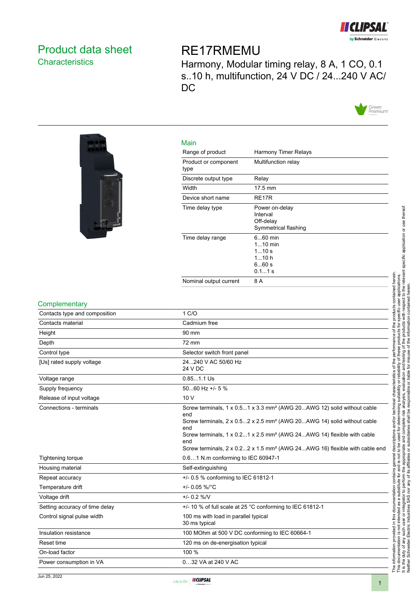

# <span id="page-0-0"></span>Product data sheet **Characteristics**

# RE17RMEMU

Harmony, Modular timing relay, 8 A, 1 CO, 0.1 s..10 h, multifunction, 24 V DC / 24...240 V AC/ DC





| Main                         |                                                                     |
|------------------------------|---------------------------------------------------------------------|
| Range of product             | Harmony Timer Relays                                                |
| Product or component<br>type | Multifunction relay                                                 |
| Discrete output type         | Relay                                                               |
| Width                        | $17.5 \text{ mm}$                                                   |
| Device short name            | RE <sub>17</sub> R                                                  |
| Time delay type              | Power on-delay<br>Interval<br>Off-delay<br>Symmetrical flashing     |
| Time delay range             | $660$ min<br>$1.10 \text{ min}$<br>110s<br>110h<br>660s<br>$0.11$ s |
| Nominal output current       | 8 A                                                                 |

#### **Complementary**

| Contacts type and composition  | 1 C/O                                                                                                                                                                                                                                                                                                                                                                                     |  |
|--------------------------------|-------------------------------------------------------------------------------------------------------------------------------------------------------------------------------------------------------------------------------------------------------------------------------------------------------------------------------------------------------------------------------------------|--|
| Contacts material              | Cadmium free                                                                                                                                                                                                                                                                                                                                                                              |  |
| Height                         | 90 mm                                                                                                                                                                                                                                                                                                                                                                                     |  |
| Depth                          | 72 mm                                                                                                                                                                                                                                                                                                                                                                                     |  |
| Control type                   | Selector switch front panel                                                                                                                                                                                                                                                                                                                                                               |  |
| [Us] rated supply voltage      | 24240 V AC 50/60 Hz<br>24 V DC                                                                                                                                                                                                                                                                                                                                                            |  |
| Voltage range                  | $0.851.1$ Us                                                                                                                                                                                                                                                                                                                                                                              |  |
| Supply frequency               | 5060 Hz +/- 5 $%$                                                                                                                                                                                                                                                                                                                                                                         |  |
| Release of input voltage       | 10V                                                                                                                                                                                                                                                                                                                                                                                       |  |
| Connections - terminals        | Screw terminals, 1 x 0.51 x 3.3 mm <sup>2</sup> (AWG 20AWG 12) solid without cable<br>end<br>Screw terminals, $2 \times 0.52 \times 2.5$ mm <sup>2</sup> (AWG 20AWG 14) solid without cable<br>end<br>Screw terminals, 1 x 0.21 x 2.5 mm <sup>2</sup> (AWG 24AWG 14) flexible with cable<br>end<br>Screw terminals, 2 x 0.22 x 1.5 mm <sup>2</sup> (AWG 24AWG 16) flexible with cable end |  |
| <b>Tightening torque</b>       | 0.61 N.m conforming to IEC 60947-1                                                                                                                                                                                                                                                                                                                                                        |  |
| Housing material               | Self-extinguishing                                                                                                                                                                                                                                                                                                                                                                        |  |
| Repeat accuracy                | +/- 0.5 % conforming to IEC 61812-1                                                                                                                                                                                                                                                                                                                                                       |  |
| Temperature drift              | +/- 0.05 %/°C                                                                                                                                                                                                                                                                                                                                                                             |  |
| Voltage drift                  | $+/- 0.2 %$ /V                                                                                                                                                                                                                                                                                                                                                                            |  |
| Setting accuracy of time delay | +/- 10 % of full scale at 25 °C conforming to IEC 61812-1                                                                                                                                                                                                                                                                                                                                 |  |
| Control signal pulse width     | 100 ms with load in parallel typical<br>30 ms typical                                                                                                                                                                                                                                                                                                                                     |  |
| Insulation resistance          | 100 MOhm at 500 V DC conforming to IEC 60664-1                                                                                                                                                                                                                                                                                                                                            |  |
| Reset time                     | 120 ms on de-energisation typical                                                                                                                                                                                                                                                                                                                                                         |  |
| On-load factor                 | 100 %                                                                                                                                                                                                                                                                                                                                                                                     |  |
| Power consumption in VA        | 032 VA at 240 V AC                                                                                                                                                                                                                                                                                                                                                                        |  |



The information provided in this documentation contains general descriptions and/or technical characteristics of the performance of the products contained herein. This documentation is not intended as a substitute for and is not to be used for determining suitability or reliability of these products for specific user applications. It is the duty of any such user or integrator to perform the appropriate and complete risk analysis, evaluation and testing of the products with respect to the relevant specific application or use thereof.

The information provided in this documentation contains general descriptions and/or technical characteristics of the performance of the products contained herein.<br>This documentation is not intended as a substitute for and

Neither Schneider Electric Industries SAS nor any of its affiliates or subsidiaries shall be responsible or liable for misuse of the information contained herein.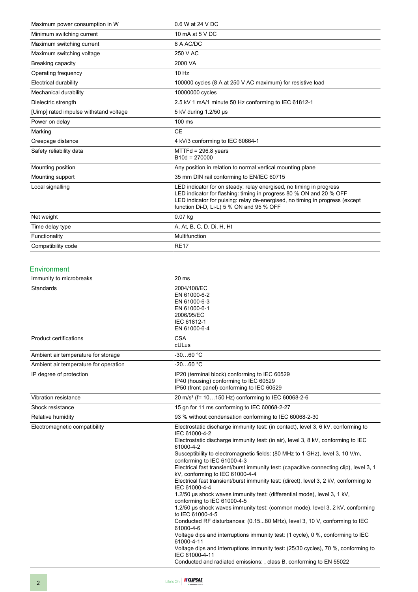| Maximum power consumption in W         | 0.6 W at 24 V DC                                                                                                                                                                                                                                                       |  |
|----------------------------------------|------------------------------------------------------------------------------------------------------------------------------------------------------------------------------------------------------------------------------------------------------------------------|--|
| Minimum switching current              | 10 mA at 5 V DC                                                                                                                                                                                                                                                        |  |
| Maximum switching current              | 8 A AC/DC                                                                                                                                                                                                                                                              |  |
| Maximum switching voltage              | 250 V AC                                                                                                                                                                                                                                                               |  |
| Breaking capacity                      | 2000 VA                                                                                                                                                                                                                                                                |  |
| Operating frequency                    | 10 Hz                                                                                                                                                                                                                                                                  |  |
| Electrical durability                  | 100000 cycles (8 A at 250 V AC maximum) for resistive load                                                                                                                                                                                                             |  |
| Mechanical durability                  | 10000000 cycles                                                                                                                                                                                                                                                        |  |
| Dielectric strength                    | 2.5 kV 1 mA/1 minute 50 Hz conforming to IEC 61812-1                                                                                                                                                                                                                   |  |
| [Uimp] rated impulse withstand voltage | 5 kV during 1.2/50 us                                                                                                                                                                                                                                                  |  |
| Power on delay                         | $100 \text{ ms}$                                                                                                                                                                                                                                                       |  |
| Marking                                | <b>CE</b>                                                                                                                                                                                                                                                              |  |
| Creepage distance                      | 4 kV/3 conforming to IEC 60664-1                                                                                                                                                                                                                                       |  |
| Safety reliability data                | $MTT Fd = 296.8$ years<br>$B10d = 270000$                                                                                                                                                                                                                              |  |
| Mounting position                      | Any position in relation to normal vertical mounting plane                                                                                                                                                                                                             |  |
| Mounting support                       | 35 mm DIN rail conforming to EN/IEC 60715                                                                                                                                                                                                                              |  |
| Local signalling                       | LED indicator for on steady: relay energised, no timing in progress<br>LED indicator for flashing: timing in progress 80 % ON and 20 % OFF<br>LED indicator for pulsing: relay de-energised, no timing in progress (except<br>function Di-D, Li-L) 5 % ON and 95 % OFF |  |
| Net weight                             | 0.07 kg                                                                                                                                                                                                                                                                |  |
| Time delay type                        | A, At, B, C, D, Di, H, Ht                                                                                                                                                                                                                                              |  |
| Functionality                          | Multifunction                                                                                                                                                                                                                                                          |  |
| Compatibility code                     | <b>RE17</b>                                                                                                                                                                                                                                                            |  |

#### Environment

| Immunity to microbreaks               | 20 ms                                                                                                                                                                                                                                                                                                                                                                                                                                                                                                                                                                                                                                                                                                                                                                                                                                                                                                                                                                                                                                                                                                                                                 |
|---------------------------------------|-------------------------------------------------------------------------------------------------------------------------------------------------------------------------------------------------------------------------------------------------------------------------------------------------------------------------------------------------------------------------------------------------------------------------------------------------------------------------------------------------------------------------------------------------------------------------------------------------------------------------------------------------------------------------------------------------------------------------------------------------------------------------------------------------------------------------------------------------------------------------------------------------------------------------------------------------------------------------------------------------------------------------------------------------------------------------------------------------------------------------------------------------------|
| Standards                             | 2004/108/EC<br>EN 61000-6-2<br>EN 61000-6-3<br>EN 61000-6-1<br>2006/95/EC<br>IEC 61812-1<br>EN 61000-6-4                                                                                                                                                                                                                                                                                                                                                                                                                                                                                                                                                                                                                                                                                                                                                                                                                                                                                                                                                                                                                                              |
| <b>Product certifications</b>         | <b>CSA</b><br>cULus                                                                                                                                                                                                                                                                                                                                                                                                                                                                                                                                                                                                                                                                                                                                                                                                                                                                                                                                                                                                                                                                                                                                   |
| Ambient air temperature for storage   | $-3060 °C$                                                                                                                                                                                                                                                                                                                                                                                                                                                                                                                                                                                                                                                                                                                                                                                                                                                                                                                                                                                                                                                                                                                                            |
| Ambient air temperature for operation | $-2060 °C$                                                                                                                                                                                                                                                                                                                                                                                                                                                                                                                                                                                                                                                                                                                                                                                                                                                                                                                                                                                                                                                                                                                                            |
| IP degree of protection               | IP20 (terminal block) conforming to IEC 60529<br>IP40 (housing) conforming to IEC 60529<br>IP50 (front panel) conforming to IEC 60529                                                                                                                                                                                                                                                                                                                                                                                                                                                                                                                                                                                                                                                                                                                                                                                                                                                                                                                                                                                                                 |
| Vibration resistance                  | 20 m/s <sup>2</sup> (f= 10150 Hz) conforming to IEC 60068-2-6                                                                                                                                                                                                                                                                                                                                                                                                                                                                                                                                                                                                                                                                                                                                                                                                                                                                                                                                                                                                                                                                                         |
| Shock resistance                      | 15 gn for 11 ms conforming to IEC 60068-2-27                                                                                                                                                                                                                                                                                                                                                                                                                                                                                                                                                                                                                                                                                                                                                                                                                                                                                                                                                                                                                                                                                                          |
| Relative humidity                     | 93 % without condensation conforming to IEC 60068-2-30                                                                                                                                                                                                                                                                                                                                                                                                                                                                                                                                                                                                                                                                                                                                                                                                                                                                                                                                                                                                                                                                                                |
| Electromagnetic compatibility         | Electrostatic discharge immunity test: (in contact), level 3, 6 kV, conforming to<br>IEC 61000-4-2<br>Electrostatic discharge immunity test: (in air), level 3, 8 kV, conforming to IEC<br>61000-4-2<br>Susceptibility to electromagnetic fields: (80 MHz to 1 GHz), level 3, 10 V/m,<br>conforming to IEC 61000-4-3<br>Electrical fast transient/burst immunity test: (capacitive connecting clip), level 3, 1<br>kV, conforming to IEC 61000-4-4<br>Electrical fast transient/burst immunity test: (direct), level 3, 2 kV, conforming to<br>IEC 61000-4-4<br>1.2/50 us shock waves immunity test: (differential mode), level 3, 1 kV,<br>conforming to IEC 61000-4-5<br>1.2/50 us shock waves immunity test: (common mode), level 3, 2 kV, conforming<br>to IEC 61000-4-5<br>Conducted RF disturbances: (0.1580 MHz), level 3, 10 V, conforming to IEC<br>61000-4-6<br>Voltage dips and interruptions immunity test: (1 cycle), 0 %, conforming to IEC<br>61000-4-11<br>Voltage dips and interruptions immunity test: (25/30 cycles), 70 %, conforming to<br>IEC 61000-4-11<br>Conducted and radiated emissions: , class B, conforming to EN 55022 |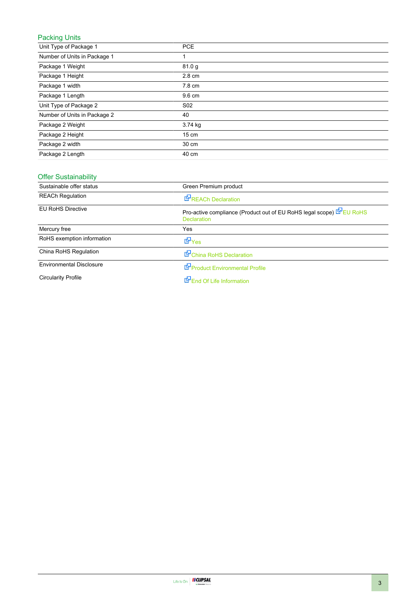# Packing Units

| Unit Type of Package 1       | <b>PCE</b>      |
|------------------------------|-----------------|
| Number of Units in Package 1 |                 |
| Package 1 Weight             | 81.0 g          |
| Package 1 Height             | 2.8 cm          |
| Package 1 width              | 7.8 cm          |
| Package 1 Length             | 9.6 cm          |
| Unit Type of Package 2       | S <sub>02</sub> |
| Number of Units in Package 2 | 40              |
| Package 2 Weight             | 3.74 kg         |
| Package 2 Height             | $15 \text{ cm}$ |
| Package 2 width              | 30 cm           |
| Package 2 Length             | 40 cm           |

### Offer Sustainability

| Sustainable offer status        | Green Premium product                                                                    |  |
|---------------------------------|------------------------------------------------------------------------------------------|--|
| <b>REACh Regulation</b>         | <b>REACh Declaration</b>                                                                 |  |
| <b>EU RoHS Directive</b>        | Pro-active compliance (Product out of EU RoHS legal scope) EU RoHS<br><b>Declaration</b> |  |
| Mercury free                    | Yes                                                                                      |  |
| RoHS exemption information      | <b>E</b> Yes                                                                             |  |
| China RoHS Regulation           | China RoHS Declaration                                                                   |  |
| <b>Environmental Disclosure</b> | Product Environmental Profile                                                            |  |
| <b>Circularity Profile</b>      | End Of Life Information                                                                  |  |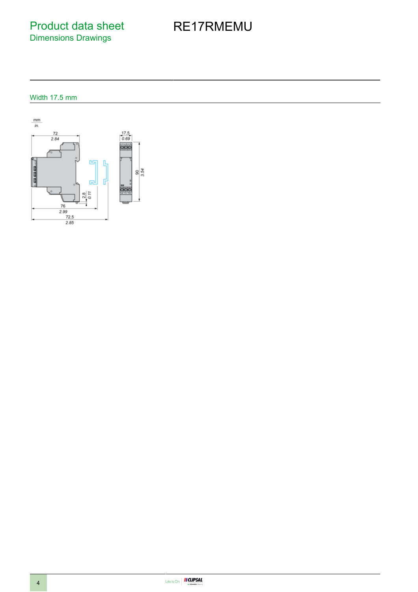Product data sheet Dimensions Drawings

# RE17RMEMU

## Width 17.5 mm

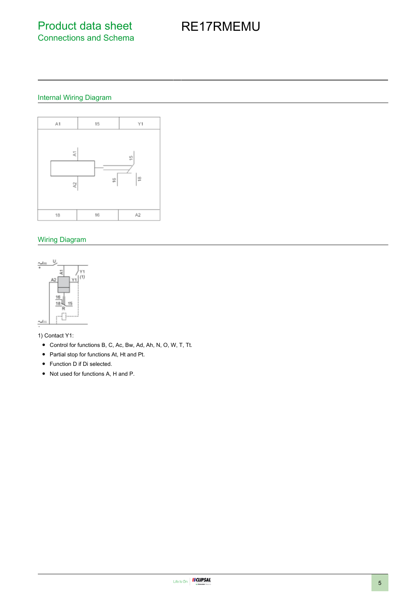# RE17RMEMU

## Internal Wiring Diagram



#### Wiring Diagram



1) Contact Y1:

- Control for functions B, C, Ac, Bw, Ad, Ah, N, O, W, T, Tt.
- Partial stop for functions At, Ht and Pt.
- Function D if Di selected.
- Not used for functions A, H and P.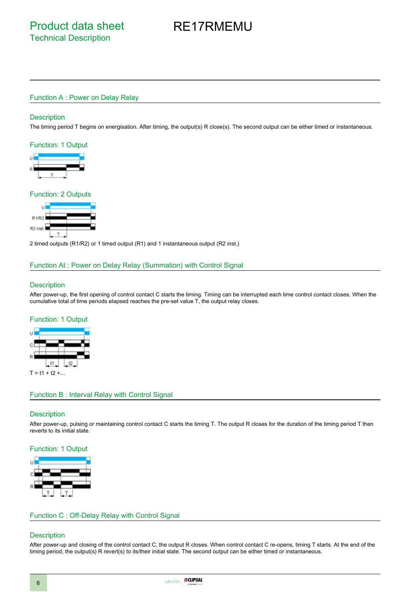# RE17RMEMU

#### Function A : Power on Delay Relay

#### **Description**

The timing period T begins on energisation. After timing, the output(s) R close(s). The second output can be either timed or instantaneous.

#### Function: 1 Output



#### Function: 2 Outputs



2 timed outputs (R1/R2) or 1 timed output (R1) and 1 instantaneous output (R2 inst.)

#### Function At : Power on Delay Relay (Summation) with Control Signal

#### **Description**

After power-up, the first opening of control contact C starts the timing. Timing can be interrupted each time control contact closes. When the cumulative total of time periods elapsed reaches the pre-set value T, the output relay closes.

#### Function: 1 Output



#### Function B : Interval Relay with Control Signal

#### **Description**

After power-up, pulsing or maintaining control contact C starts the timing T. The output R closes for the duration of the timing period T then reverts to its initial state.

#### Function: 1 Output



#### Function C : Off-Delay Relay with Control Signal

#### **Description**

After power-up and closing of the control contact C, the output R closes. When control contact C re-opens, timing T starts. At the end of the timing period, the output(s) R revert(s) to its/their initial state. The second output can be either timed or instantaneous.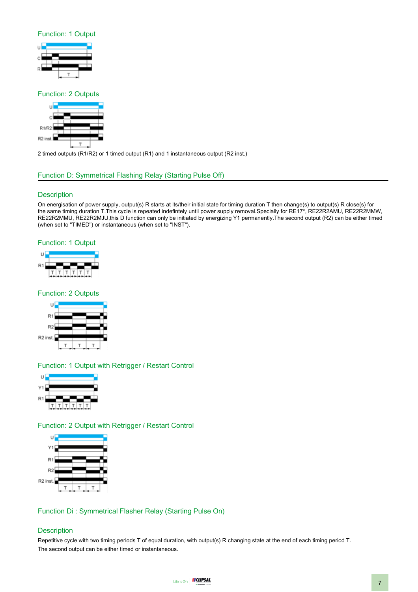#### Function: 1 Output



#### Function: 2 Outputs



2 timed outputs (R1/R2) or 1 timed output (R1) and 1 instantaneous output (R2 inst.)

#### Function D: Symmetrical Flashing Relay (Starting Pulse Off)

#### **Description**

On energisation of power supply, output(s) R starts at its/their initial state for timing duration T then change(s) to output(s) R close(s) for the same timing duration T.This cycle is repeated indefintely until power supply removal.Specially for RE17\*, RE22R2AMU, RE22R2MMW, RE22R2MMU, RE22R2MJU,this D function can only be initiated by energizing Y1 permanently.The second output (R2) can be either timed (when set to "TIMED") or instantaneous (when set to "INST").

#### Function: 1 Output



#### Function: 2 Outputs



#### Function: 1 Output with Retrigger / Restart Control



#### Function: 2 Output with Retrigger / Restart Control



#### Function Di : Symmetrical Flasher Relay (Starting Pulse On)

#### **Description**

Repetitive cycle with two timing periods T of equal duration, with output(s) R changing state at the end of each timing period T. The second output can be either timed or instantaneous.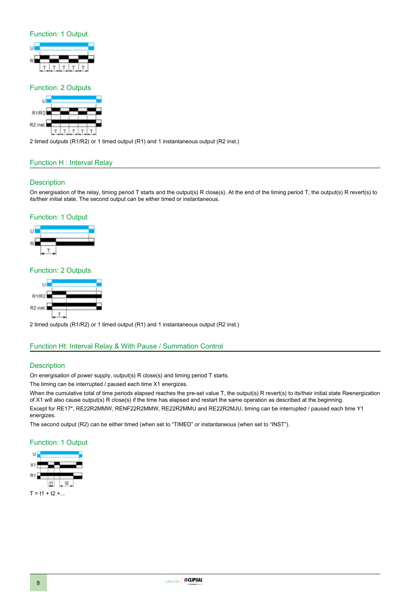#### Function: 1 Output



#### Function: 2 Outputs



2 timed outputs (R1/R2) or 1 timed output (R1) and 1 instantaneous output (R2 inst.)

#### Function H : Interval Relay

#### **Description**

On energisation of the relay, timing period T starts and the output(s) R close(s). At the end of the timing period T, the output(s) R revert(s) to its/their initial state. The second output can be either timed or instantaneous.

#### Function: 1 Output



#### Function: 2 Outputs



2 timed outputs (R1/R2) or 1 timed output (R1) and 1 instantaneous output (R2 inst.)

#### Function Ht: Interval Relay & With Pause / Summation Control

#### **Description**

On energisation of power supply, output(s) R close(s) and timing period T starts.

The timing can be interrupted / paused each time X1 energizes.

When the cumulative total of time periods elapsed reaches the pre-set value T, the output(s) R revert(s) to its/their initial state Reenergization of X1 will also cause output(s) R close(s) if the time has elapsed and restart the same operation as described at the beginning. Except for RE17\*, RE22R2MMW, RENF22R2MMW, RE22R2MMU and RE22R2MJU, timing can be interrupted / paused each time Y1

energizes.

The second output (R2) can be either timed (when set to "TIMED" or instantaneous (when set to "INST").

#### Function: 1 Output



 $T = t1 + t2 + ...$